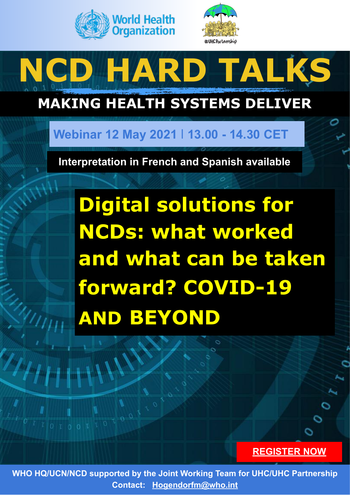



# **NCD HARD TALKS**

## **MAKING HEALTH SYSTEMS DELIVER**

### **Webinar 12 May 2021** I **13.00 - 14.30 CET**

**Interpretation in French and Spanish available**

**Digital solutions for NCDs: what worked and what can be taken forward? COVID-19 AND BEYOND**

#### **[REGISTER NOW](https://who.zoom.us/webinar/register/WN__JMEwSuOTTmziIYqfdXsHg)**

**WHO HQ/UCN/NCD supported by the Joint Working Team for UHC/UHC Partnership Contact: [Hogendorfm@who.int](mailto:Hogendorfm@who.int)**